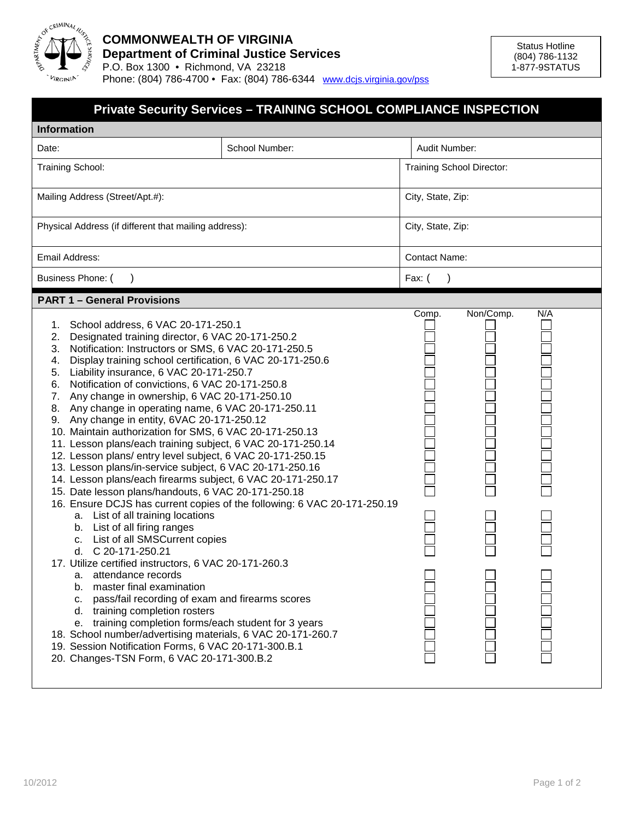

## **COMMONWEALTH OF VIRGINIA Department of Criminal Justice Services** P.O. Box 1300 • Richmond, VA 23218

Phone: (804) 786-4700 • Fax: (804) 786-6344 www.dcjs.virginia.gov/pss

| <b>Private Security Services - TRAINING SCHOOL COMPLIANCE INSPECTION</b>                                                                                                                                                                                                                                                                                                                                                                                                                                                                                                                                                                                                                                                                                                                                                                                                                                                                                                                                                                                                                                                                                                                                                                                                                                                                                                                                                                                                                                                                  |                |                      |                           |     |  |  |  |
|-------------------------------------------------------------------------------------------------------------------------------------------------------------------------------------------------------------------------------------------------------------------------------------------------------------------------------------------------------------------------------------------------------------------------------------------------------------------------------------------------------------------------------------------------------------------------------------------------------------------------------------------------------------------------------------------------------------------------------------------------------------------------------------------------------------------------------------------------------------------------------------------------------------------------------------------------------------------------------------------------------------------------------------------------------------------------------------------------------------------------------------------------------------------------------------------------------------------------------------------------------------------------------------------------------------------------------------------------------------------------------------------------------------------------------------------------------------------------------------------------------------------------------------------|----------------|----------------------|---------------------------|-----|--|--|--|
| <b>Information</b>                                                                                                                                                                                                                                                                                                                                                                                                                                                                                                                                                                                                                                                                                                                                                                                                                                                                                                                                                                                                                                                                                                                                                                                                                                                                                                                                                                                                                                                                                                                        |                |                      |                           |     |  |  |  |
| Date:                                                                                                                                                                                                                                                                                                                                                                                                                                                                                                                                                                                                                                                                                                                                                                                                                                                                                                                                                                                                                                                                                                                                                                                                                                                                                                                                                                                                                                                                                                                                     | School Number: | Audit Number:        |                           |     |  |  |  |
| Training School:                                                                                                                                                                                                                                                                                                                                                                                                                                                                                                                                                                                                                                                                                                                                                                                                                                                                                                                                                                                                                                                                                                                                                                                                                                                                                                                                                                                                                                                                                                                          |                |                      | Training School Director: |     |  |  |  |
| Mailing Address (Street/Apt.#):                                                                                                                                                                                                                                                                                                                                                                                                                                                                                                                                                                                                                                                                                                                                                                                                                                                                                                                                                                                                                                                                                                                                                                                                                                                                                                                                                                                                                                                                                                           |                |                      | City, State, Zip:         |     |  |  |  |
| Physical Address (if different that mailing address):                                                                                                                                                                                                                                                                                                                                                                                                                                                                                                                                                                                                                                                                                                                                                                                                                                                                                                                                                                                                                                                                                                                                                                                                                                                                                                                                                                                                                                                                                     |                |                      | City, State, Zip:         |     |  |  |  |
| Email Address:                                                                                                                                                                                                                                                                                                                                                                                                                                                                                                                                                                                                                                                                                                                                                                                                                                                                                                                                                                                                                                                                                                                                                                                                                                                                                                                                                                                                                                                                                                                            |                | <b>Contact Name:</b> |                           |     |  |  |  |
| Business Phone: (                                                                                                                                                                                                                                                                                                                                                                                                                                                                                                                                                                                                                                                                                                                                                                                                                                                                                                                                                                                                                                                                                                                                                                                                                                                                                                                                                                                                                                                                                                                         |                | Fax: (               |                           |     |  |  |  |
| <b>PART 1 - General Provisions</b>                                                                                                                                                                                                                                                                                                                                                                                                                                                                                                                                                                                                                                                                                                                                                                                                                                                                                                                                                                                                                                                                                                                                                                                                                                                                                                                                                                                                                                                                                                        |                |                      |                           |     |  |  |  |
| School address, 6 VAC 20-171-250.1<br>1.<br>Designated training director, 6 VAC 20-171-250.2<br>2.<br>Notification: Instructors or SMS, 6 VAC 20-171-250.5<br>3.<br>Display training school certification, 6 VAC 20-171-250.6<br>4.<br>Liability insurance, 6 VAC 20-171-250.7<br>5.<br>Notification of convictions, 6 VAC 20-171-250.8<br>6.<br>Any change in ownership, 6 VAC 20-171-250.10<br>7.<br>8. Any change in operating name, 6 VAC 20-171-250.11<br>9. Any change in entity, 6VAC 20-171-250.12<br>10. Maintain authorization for SMS, 6 VAC 20-171-250.13<br>11. Lesson plans/each training subject, 6 VAC 20-171-250.14<br>12. Lesson plans/ entry level subject, 6 VAC 20-171-250.15<br>13. Lesson plans/in-service subject, 6 VAC 20-171-250.16<br>14. Lesson plans/each firearms subject, 6 VAC 20-171-250.17<br>15. Date lesson plans/handouts, 6 VAC 20-171-250.18<br>16. Ensure DCJS has current copies of the following: 6 VAC 20-171-250.19<br>a. List of all training locations<br>b. List of all firing ranges<br>c. List of all SMSCurrent copies<br>d. C 20-171-250.21<br>17. Utilize certified instructors, 6 VAC 20-171-260.3<br>a. attendance records<br>b. master final examination<br>pass/fail recording of exam and firearms scores<br>c.<br>d. training completion rosters<br>e. training completion forms/each student for 3 years<br>18. School number/advertising materials, 6 VAC 20-171-260.7<br>19. Session Notification Forms, 6 VAC 20-171-300.B.1<br>20. Changes-TSN Form, 6 VAC 20-171-300.B.2 |                | Comp.                | Non/Comp.                 | N/A |  |  |  |